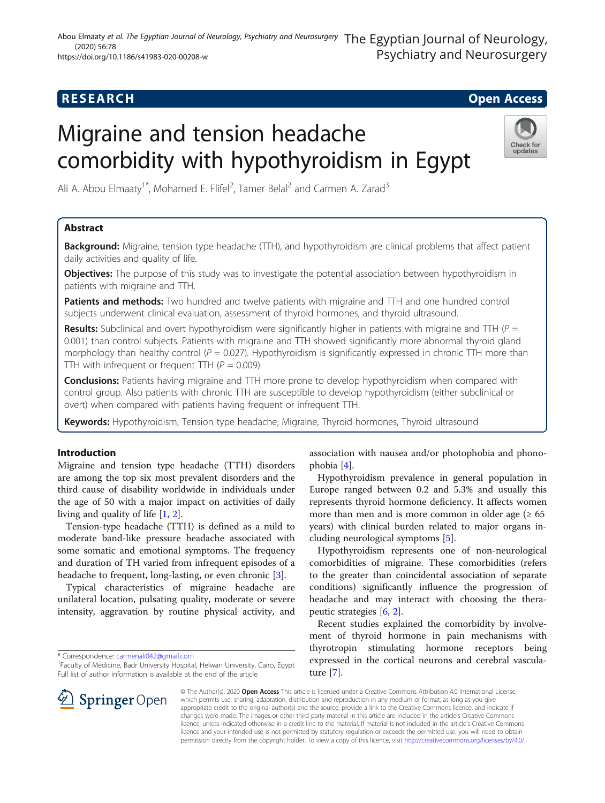## **RESEARCH CHE Open Access**

# Migraine and tension headache comorbidity with hypothyroidism in Egypt



Ali A. Abou Elmaaty<sup>1\*</sup>, Mohamed E. Flifel<sup>2</sup>, Tamer Belal<sup>2</sup> and Carmen A. Zarad<sup>3</sup>

### Abstract

Background: Migraine, tension type headache (TTH), and hypothyroidism are clinical problems that affect patient daily activities and quality of life.

**Objectives:** The purpose of this study was to investigate the potential association between hypothyroidism in patients with migraine and TTH.

Patients and methods: Two hundred and twelve patients with migraine and TTH and one hundred control subjects underwent clinical evaluation, assessment of thyroid hormones, and thyroid ultrasound.

**Results:** Subclinical and overt hypothyroidism were significantly higher in patients with migraine and TTH ( $P =$ 0.001) than control subjects. Patients with migraine and TTH showed significantly more abnormal thyroid gland morphology than healthy control ( $P = 0.027$ ). Hypothyroidism is significantly expressed in chronic TTH more than TTH with infrequent or frequent TTH ( $P = 0.009$ ).

**Conclusions:** Patients having migraine and TTH more prone to develop hypothyroidism when compared with control group. Also patients with chronic TTH are susceptible to develop hypothyroidism (either subclinical or overt) when compared with patients having frequent or infrequent TTH.

Keywords: Hypothyroidism, Tension type headache, Migraine, Thyroid hormones, Thyroid ultrasound

#### Introduction

Migraine and tension type headache (TTH) disorders are among the top six most prevalent disorders and the third cause of disability worldwide in individuals under the age of 50 with a major impact on activities of daily living and quality of life [[1,](#page-6-0) [2\]](#page-6-0).

Tension-type headache (TTH) is defined as a mild to moderate band-like pressure headache associated with some somatic and emotional symptoms. The frequency and duration of TH varied from infrequent episodes of a headache to frequent, long-lasting, or even chronic [[3\]](#page-6-0).

Typical characteristics of migraine headache are unilateral location, pulsating quality, moderate or severe intensity, aggravation by routine physical activity, and

\* Correspondence: [carmenali042@gmail.com](mailto:carmenali042@gmail.com) <sup>1</sup>

<sup>1</sup> Faculty of Medicine, Badr University Hospital, Helwan University, Cairo, Egypt Full list of author information is available at the end of the article

association with nausea and/or photophobia and phonophobia [[4](#page-6-0)].

Hypothyroidism prevalence in general population in Europe ranged between 0.2 and 5.3% and usually this represents thyroid hormone deficiency. It affects women more than men and is more common in older age  $(≥ 65$ years) with clinical burden related to major organs including neurological symptoms [[5\]](#page-6-0).

Hypothyroidism represents one of non-neurological comorbidities of migraine. These comorbidities (refers to the greater than coincidental association of separate conditions) significantly influence the progression of headache and may interact with choosing the therapeutic strategies [[6,](#page-6-0) [2\]](#page-6-0).

Recent studies explained the comorbidity by involvement of thyroid hormone in pain mechanisms with thyrotropin stimulating hormone receptors being expressed in the cortical neurons and cerebral vasculature [\[7](#page-6-0)].



© The Author(s). 2020 Open Access This article is licensed under a Creative Commons Attribution 4.0 International License, which permits use, sharing, adaptation, distribution and reproduction in any medium or format, as long as you give appropriate credit to the original author(s) and the source, provide a link to the Creative Commons licence, and indicate if changes were made. The images or other third party material in this article are included in the article's Creative Commons licence, unless indicated otherwise in a credit line to the material. If material is not included in the article's Creative Commons licence and your intended use is not permitted by statutory regulation or exceeds the permitted use, you will need to obtain permission directly from the copyright holder. To view a copy of this licence, visit <http://creativecommons.org/licenses/by/4.0/>.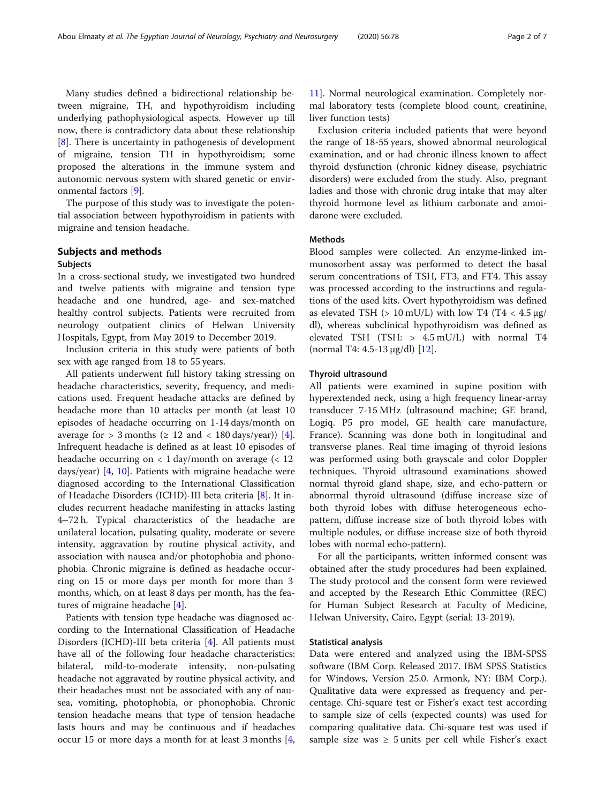Many studies defined a bidirectional relationship between migraine, TH, and hypothyroidism including underlying pathophysiological aspects. However up till now, there is contradictory data about these relationship [[8\]](#page-6-0). There is uncertainty in pathogenesis of development of migraine, tension TH in hypothyroidism; some proposed the alterations in the immune system and autonomic nervous system with shared genetic or environmental factors [[9\]](#page-6-0).

The purpose of this study was to investigate the potential association between hypothyroidism in patients with migraine and tension headache.

#### Subjects and methods

#### Subjects

In a cross-sectional study, we investigated two hundred and twelve patients with migraine and tension type headache and one hundred, age- and sex-matched healthy control subjects. Patients were recruited from neurology outpatient clinics of Helwan University Hospitals, Egypt, from May 2019 to December 2019.

Inclusion criteria in this study were patients of both sex with age ranged from 18 to 55 years.

All patients underwent full history taking stressing on headache characteristics, severity, frequency, and medications used. Frequent headache attacks are defined by headache more than 10 attacks per month (at least 10 episodes of headache occurring on 1-14 days/month on average for  $> 3$  months ( $\geq 12$  and  $< 180$  days/year)) [\[4](#page-6-0)]. Infrequent headache is defined as at least 10 episodes of headache occurring on  $\langle 1 \rangle$  day/month on average  $\langle 12 \rangle$ days/year) [[4,](#page-6-0) [10\]](#page-6-0). Patients with migraine headache were diagnosed according to the International Classification of Headache Disorders (ICHD)-III beta criteria [\[8](#page-6-0)]. It includes recurrent headache manifesting in attacks lasting 4–72 h. Typical characteristics of the headache are unilateral location, pulsating quality, moderate or severe intensity, aggravation by routine physical activity, and association with nausea and/or photophobia and phonophobia. Chronic migraine is defined as headache occurring on 15 or more days per month for more than 3 months, which, on at least 8 days per month, has the features of migraine headache [[4\]](#page-6-0).

Patients with tension type headache was diagnosed according to the International Classification of Headache Disorders (ICHD)-III beta criteria [\[4](#page-6-0)]. All patients must have all of the following four headache characteristics: bilateral, mild-to-moderate intensity, non-pulsating headache not aggravated by routine physical activity, and their headaches must not be associated with any of nausea, vomiting, photophobia, or phonophobia. Chronic tension headache means that type of tension headache lasts hours and may be continuous and if headaches occur 15 or more days a month for at least 3 months [\[4](#page-6-0),

[11\]](#page-6-0). Normal neurological examination. Completely normal laboratory tests (complete blood count, creatinine, liver function tests)

Exclusion criteria included patients that were beyond the range of 18-55 years, showed abnormal neurological examination, and or had chronic illness known to affect thyroid dysfunction (chronic kidney disease, psychiatric disorders) were excluded from the study. Also, pregnant ladies and those with chronic drug intake that may alter thyroid hormone level as lithium carbonate and amoidarone were excluded.

#### Methods

Blood samples were collected. An enzyme-linked immunosorbent assay was performed to detect the basal serum concentrations of TSH, FT3, and FT4. This assay was processed according to the instructions and regulations of the used kits. Overt hypothyroidism was defined as elevated TSH ( $> 10$  mU/L) with low T4 (T4  $< 4.5 \mu$ g/ dl), whereas subclinical hypothyroidism was defined as elevated TSH (TSH: > 4.5 mU/L) with normal T4 (normal T4: 4.5-13 μg/dl) [[12\]](#page-6-0).

#### Thyroid ultrasound

All patients were examined in supine position with hyperextended neck, using a high frequency linear-array transducer 7-15 MHz (ultrasound machine; GE brand, Logiq. P5 pro model, GE health care manufacture, France). Scanning was done both in longitudinal and transverse planes. Real time imaging of thyroid lesions was performed using both grayscale and color Doppler techniques. Thyroid ultrasound examinations showed normal thyroid gland shape, size, and echo-pattern or abnormal thyroid ultrasound (diffuse increase size of both thyroid lobes with diffuse heterogeneous echopattern, diffuse increase size of both thyroid lobes with multiple nodules, or diffuse increase size of both thyroid lobes with normal echo-pattern).

For all the participants, written informed consent was obtained after the study procedures had been explained. The study protocol and the consent form were reviewed and accepted by the Research Ethic Committee (REC) for Human Subject Research at Faculty of Medicine, Helwan University, Cairo, Egypt (serial: 13-2019).

#### Statistical analysis

Data were entered and analyzed using the IBM-SPSS software (IBM Corp. Released 2017. IBM SPSS Statistics for Windows, Version 25.0. Armonk, NY: IBM Corp.). Qualitative data were expressed as frequency and percentage. Chi-square test or Fisher's exact test according to sample size of cells (expected counts) was used for comparing qualitative data. Chi-square test was used if sample size was  $\geq$  5 units per cell while Fisher's exact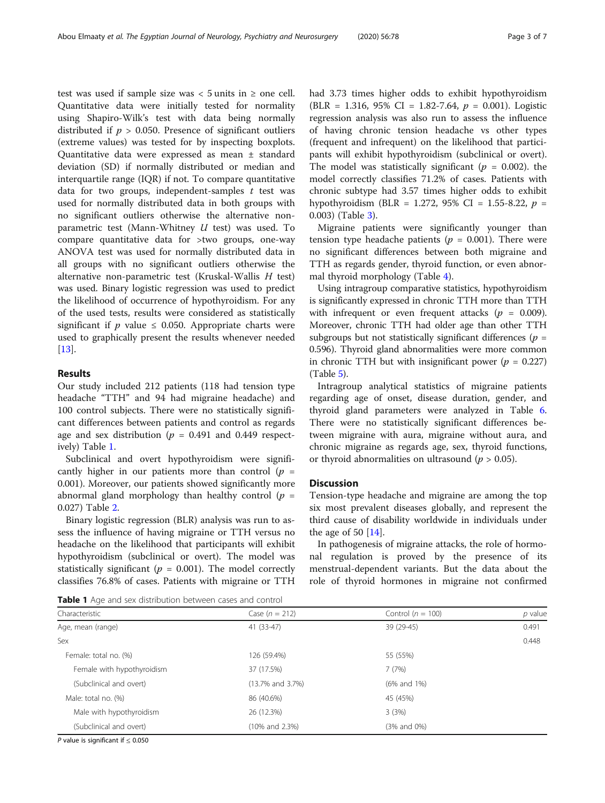test was used if sample size was  $<$  5 units in  $\ge$  one cell. Quantitative data were initially tested for normality using Shapiro-Wilk's test with data being normally distributed if  $p > 0.050$ . Presence of significant outliers (extreme values) was tested for by inspecting boxplots. Quantitative data were expressed as mean ± standard deviation (SD) if normally distributed or median and interquartile range (IQR) if not. To compare quantitative data for two groups, independent-samples  $t$  test was used for normally distributed data in both groups with no significant outliers otherwise the alternative nonparametric test (Mann-Whitney  $U$  test) was used. To compare quantitative data for >two groups, one-way ANOVA test was used for normally distributed data in all groups with no significant outliers otherwise the alternative non-parametric test (Kruskal-Wallis H test) was used. Binary logistic regression was used to predict the likelihood of occurrence of hypothyroidism. For any of the used tests, results were considered as statistically significant if  $p$  value  $\leq$  0.050. Appropriate charts were used to graphically present the results whenever needed [[13\]](#page-6-0).

#### Results

Our study included 212 patients (118 had tension type headache "TTH" and 94 had migraine headache) and 100 control subjects. There were no statistically significant differences between patients and control as regards age and sex distribution ( $p = 0.491$  and 0.449 respectively) Table 1.

Subclinical and overt hypothyroidism were significantly higher in our patients more than control  $(p =$ 0.001). Moreover, our patients showed significantly more abnormal gland morphology than healthy control ( $p =$ 0.027) Table [2](#page-3-0).

Binary logistic regression (BLR) analysis was run to assess the influence of having migraine or TTH versus no headache on the likelihood that participants will exhibit hypothyroidism (subclinical or overt). The model was statistically significant ( $p = 0.001$ ). The model correctly classifies 76.8% of cases. Patients with migraine or TTH had 3.73 times higher odds to exhibit hypothyroidism (BLR = 1.316, 95% CI = 1.82-7.64,  $p = 0.001$ ). Logistic regression analysis was also run to assess the influence of having chronic tension headache vs other types (frequent and infrequent) on the likelihood that participants will exhibit hypothyroidism (subclinical or overt). The model was statistically significant ( $p = 0.002$ ). the model correctly classifies 71.2% of cases. Patients with chronic subtype had 3.57 times higher odds to exhibit hypothyroidism (BLR = 1.272, 95% CI = 1.55-8.22,  $p =$ 0.003) (Table [3\)](#page-3-0).

Migraine patients were significantly younger than tension type headache patients ( $p = 0.001$ ). There were no significant differences between both migraine and TTH as regards gender, thyroid function, or even abnormal thyroid morphology (Table [4\)](#page-4-0).

Using intragroup comparative statistics, hypothyroidism is significantly expressed in chronic TTH more than TTH with infrequent or even frequent attacks ( $p = 0.009$ ). Moreover, chronic TTH had older age than other TTH subgroups but not statistically significant differences ( $p =$ 0.596). Thyroid gland abnormalities were more common in chronic TTH but with insignificant power ( $p = 0.227$ ) (Table [5\)](#page-4-0).

Intragroup analytical statistics of migraine patients regarding age of onset, disease duration, gender, and thyroid gland parameters were analyzed in Table [6](#page-5-0). There were no statistically significant differences between migraine with aura, migraine without aura, and chronic migraine as regards age, sex, thyroid functions, or thyroid abnormalities on ultrasound ( $p > 0.05$ ).

#### **Discussion**

Tension-type headache and migraine are among the top six most prevalent diseases globally, and represent the third cause of disability worldwide in individuals under the age of 50  $[14]$  $[14]$ .

In pathogenesis of migraine attacks, the role of hormonal regulation is proved by the presence of its menstrual-dependent variants. But the data about the role of thyroid hormones in migraine not confirmed

Table 1 Age and sex distribution between cases and control

| Characteristic             | Case $(n = 212)$       | Control ( $n = 100$ ) | $p$ value |
|----------------------------|------------------------|-----------------------|-----------|
| Age, mean (range)          | 41 (33-47)             | 39 (29-45)            | 0.491     |
| Sex                        |                        |                       | 0.448     |
| Female: total no. (%)      | 126 (59.4%)            | 55 (55%)              |           |
| Female with hypothyroidism | 37 (17.5%)             | 7(7%)                 |           |
| (Subclinical and overt)    | $(13.7\%$ and $3.7\%)$ | (6% and 1%)           |           |
| Male: total no. (%)        | 86 (40.6%)             | 45 (45%)              |           |
| Male with hypothyroidism   | 26 (12.3%)             | 3(3%)                 |           |
| (Subclinical and overt)    | (10% and 2.3%)         | (3% and 0%)           |           |

P value is significant if  $\leq 0.050$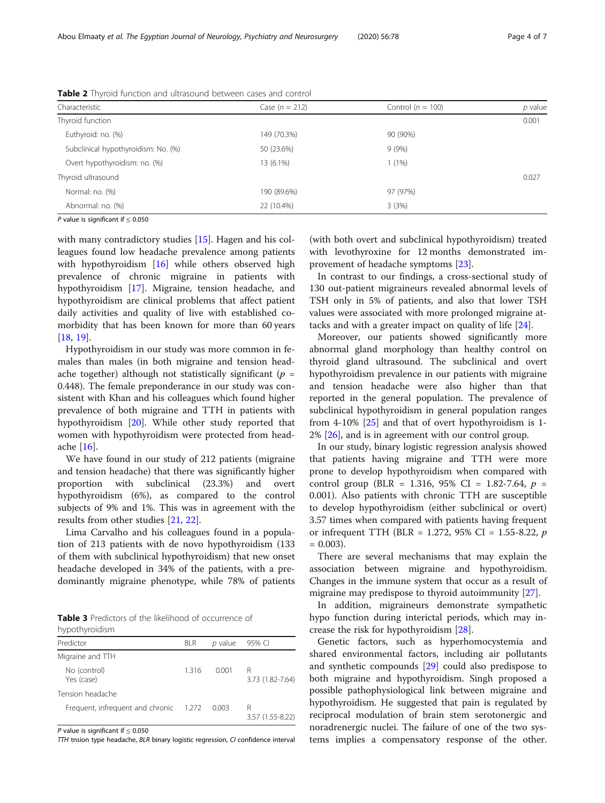|             |          | $p$ value |
|-------------|----------|-----------|
|             |          | 0.001     |
| 149 (70.3%) | 90 (90%) |           |
| 50 (23.6%)  | 9(9%)    |           |
| 13 (6.1%)   | 1(1%)    |           |
|             |          | 0.027     |
| 190 (89.6%) | 97 (97%) |           |
| 22 (10.4%)  | 3(3%)    |           |
|             |          |           |

<span id="page-3-0"></span>Table 2 Thyroid function and ultrasound between cases and control

P value is significant if < 0.050

with many contradictory studies [[15\]](#page-6-0). Hagen and his colleagues found low headache prevalence among patients with hypothyroidism [\[16](#page-6-0)] while others observed high prevalence of chronic migraine in patients with hypothyroidism [\[17](#page-6-0)]. Migraine, tension headache, and hypothyroidism are clinical problems that affect patient daily activities and quality of live with established comorbidity that has been known for more than 60 years [[18,](#page-6-0) [19\]](#page-6-0).

Hypothyroidism in our study was more common in females than males (in both migraine and tension headache together) although not statistically significant ( $p =$ 0.448). The female preponderance in our study was consistent with Khan and his colleagues which found higher prevalence of both migraine and TTH in patients with hypothyroidism [\[20](#page-6-0)]. While other study reported that women with hypothyroidism were protected from headache [\[16](#page-6-0)].

We have found in our study of 212 patients (migraine and tension headache) that there was significantly higher proportion with subclinical (23.3%) and overt hypothyroidism (6%), as compared to the control subjects of 9% and 1%. This was in agreement with the results from other studies [\[21,](#page-6-0) [22\]](#page-6-0).

Lima Carvalho and his colleagues found in a population of 213 patients with de novo hypothyroidism (133 of them with subclinical hypothyroidism) that new onset headache developed in 34% of the patients, with a predominantly migraine phenotype, while 78% of patients

Table 3 Predictors of the likelihood of occurrence of hypothyroidism

| Predictor                        | BLR   | p value | 95% CI                |
|----------------------------------|-------|---------|-----------------------|
| Migraine and TTH                 |       |         |                       |
| No (control)<br>Yes (case)       | 1.316 | 0.001   | R<br>3.73 (1.82-7.64) |
| Tension headache                 |       |         |                       |
| Frequent, infrequent and chronic | 1.272 | 0.003   | R<br>3.57 (1.55-8.22) |

P value is significant if  $\leq 0.050$ 

TTH tnsion type headache, BLR binary logistic regression, CI confidence interval

(with both overt and subclinical hypothyroidism) treated with levothyroxine for 12 months demonstrated improvement of headache symptoms [\[23](#page-6-0)].

In contrast to our findings, a cross-sectional study of 130 out-patient migraineurs revealed abnormal levels of TSH only in 5% of patients, and also that lower TSH values were associated with more prolonged migraine attacks and with a greater impact on quality of life [\[24\]](#page-6-0).

Moreover, our patients showed significantly more abnormal gland morphology than healthy control on thyroid gland ultrasound. The subclinical and overt hypothyroidism prevalence in our patients with migraine and tension headache were also higher than that reported in the general population. The prevalence of subclinical hypothyroidism in general population ranges from 4-10% [\[25](#page-6-0)] and that of overt hypothyroidism is 1-  $2\%$  [ $26$ ], and is in agreement with our control group.

In our study, binary logistic regression analysis showed that patients having migraine and TTH were more prone to develop hypothyroidism when compared with control group (BLR = 1.316, 95% CI = 1.82-7.64,  $p =$ 0.001). Also patients with chronic TTH are susceptible to develop hypothyroidism (either subclinical or overt) 3.57 times when compared with patients having frequent or infrequent TTH (BLR = 1.272, 95% CI = 1.55-8.22,  $p$ )  $= 0.003$ ).

There are several mechanisms that may explain the association between migraine and hypothyroidism. Changes in the immune system that occur as a result of migraine may predispose to thyroid autoimmunity [\[27](#page-6-0)].

In addition, migraineurs demonstrate sympathetic hypo function during interictal periods, which may increase the risk for hypothyroidism [\[28\]](#page-6-0).

Genetic factors, such as hyperhomocystemia and shared environmental factors, including air pollutants and synthetic compounds [\[29](#page-6-0)] could also predispose to both migraine and hypothyroidism. Singh proposed a possible pathophysiological link between migraine and hypothyroidism. He suggested that pain is regulated by reciprocal modulation of brain stem serotonergic and noradrenergic nuclei. The failure of one of the two systems implies a compensatory response of the other.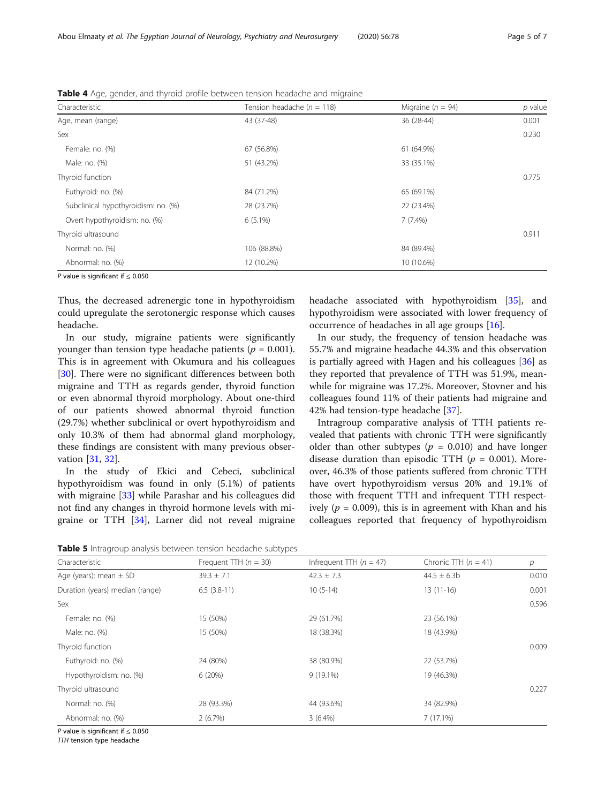| Characteristic                           | Tension headache ( $n = 118$ ) | Migraine ( $n = 94$ ) | $p$ value |
|------------------------------------------|--------------------------------|-----------------------|-----------|
| Age, mean (range)                        | 43 (37-48)                     | 36 (28-44)            | 0.001     |
| Sex                                      |                                |                       | 0.230     |
| Female: no. (%)                          | 67 (56.8%)                     | 61 (64.9%)            |           |
| Male: no. (%)                            | 51 (43.2%)                     | 33 (35.1%)            |           |
| Thyroid function                         |                                |                       | 0.775     |
| Euthyroid: no. (%)                       | 84 (71.2%)                     | 65 (69.1%)            |           |
| Subclinical hypothyroidism: no. (%)      | 28 (23.7%)                     | 22 (23.4%)            |           |
| Overt hypothyroidism: no. (%)            | $6(5.1\%)$                     | $7(7.4\%)$            |           |
| Thyroid ultrasound                       |                                |                       | 0.911     |
| Normal: no. (%)                          | 106 (88.8%)                    | 84 (89.4%)            |           |
| Abnormal: no. (%)                        | 12 (10.2%)                     | 10 (10.6%)            |           |
| $D$ value is significant if $\geq 0.050$ |                                |                       |           |

<span id="page-4-0"></span>Table 4 Age, gender, and thyroid profile between tension headache and migraine

P value is significant if  $\leq 0.050$ 

Thus, the decreased adrenergic tone in hypothyroidism could upregulate the serotonergic response which causes headache.

In our study, migraine patients were significantly younger than tension type headache patients ( $p = 0.001$ ). This is in agreement with Okumura and his colleagues [[30\]](#page-6-0). There were no significant differences between both migraine and TTH as regards gender, thyroid function or even abnormal thyroid morphology. About one-third of our patients showed abnormal thyroid function (29.7%) whether subclinical or overt hypothyroidism and only 10.3% of them had abnormal gland morphology, these findings are consistent with many previous observation [[31,](#page-6-0) [32\]](#page-6-0).

In the study of Ekici and Cebeci, subclinical hypothyroidism was found in only (5.1%) of patients with migraine [\[33\]](#page-6-0) while Parashar and his colleagues did not find any changes in thyroid hormone levels with migraine or TTH [\[34](#page-6-0)], Larner did not reveal migraine headache associated with hypothyroidism [\[35](#page-6-0)], and hypothyroidism were associated with lower frequency of occurrence of headaches in all age groups [\[16\]](#page-6-0).

In our study, the frequency of tension headache was 55.7% and migraine headache 44.3% and this observation is partially agreed with Hagen and his colleagues [[36\]](#page-6-0) as they reported that prevalence of TTH was 51.9%, meanwhile for migraine was 17.2%. Moreover, Stovner and his colleagues found 11% of their patients had migraine and 42% had tension-type headache [[37\]](#page-6-0).

Intragroup comparative analysis of TTH patients revealed that patients with chronic TTH were significantly older than other subtypes ( $p = 0.010$ ) and have longer disease duration than episodic TTH ( $p = 0.001$ ). Moreover, 46.3% of those patients suffered from chronic TTH have overt hypothyroidism versus 20% and 19.1% of those with frequent TTH and infrequent TTH respectively ( $p = 0.009$ ), this is in agreement with Khan and his colleagues reported that frequency of hypothyroidism

Table 5 Intragroup analysis between tension headache subtypes

| Characteristic                  | Frequent TTH $(n = 30)$ | Infrequent TTH $(n = 47)$ | Chronic TTH $(n = 41)$ | $\mathcal{P}$ |
|---------------------------------|-------------------------|---------------------------|------------------------|---------------|
| Age (years): mean $\pm$ SD      | $39.3 \pm 7.1$          | $42.3 \pm 7.3$            | $44.5 \pm 6.3$ b       | 0.010         |
| Duration (years) median (range) | $6.5(3.8-11)$           | $10(5-14)$                | $13(11-16)$            | 0.001         |
| Sex                             |                         |                           |                        | 0.596         |
| Female: no. (%)                 | 15 (50%)                | 29 (61.7%)                | 23 (56.1%)             |               |
| Male: no. (%)                   | 15 (50%)                | 18 (38.3%)                | 18 (43.9%)             |               |
| Thyroid function                |                         |                           |                        | 0.009         |
| Euthyroid: no. (%)              | 24 (80%)                | 38 (80.9%)                | 22 (53.7%)             |               |
| Hypothyroidism: no. (%)         | 6(20%)                  | $9(19.1\%)$               | 19 (46.3%)             |               |
| Thyroid ultrasound              |                         |                           |                        | 0.227         |
| Normal: no. (%)                 | 28 (93.3%)              | 44 (93.6%)                | 34 (82.9%)             |               |
| Abnormal: no. (%)               | 2(6.7%)                 | $3(6.4\%)$                | 7(17.1%)               |               |

P value is significant if ≤ 0.050

TTH tension type headache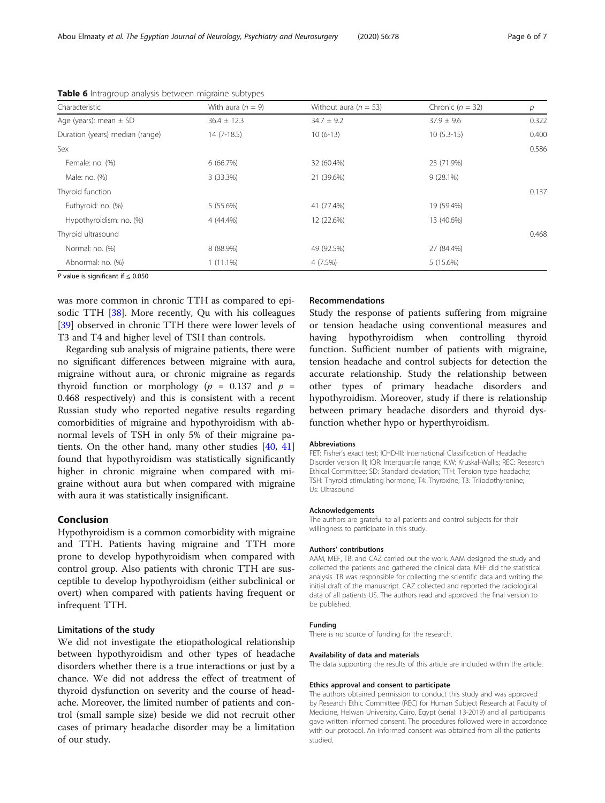| Characteristic                  | With aura $(n = 9)$ | Without aura ( $n = 53$ ) | Chronic ( $n = 32$ ) | p     |
|---------------------------------|---------------------|---------------------------|----------------------|-------|
| Age (years): mean $\pm$ SD      | $36.4 \pm 12.3$     | $34.7 \pm 9.2$            | $37.9 \pm 9.6$       | 0.322 |
| Duration (years) median (range) | $14(7-18.5)$        | $10(6-13)$                | $10(5.3-15)$         | 0.400 |
| Sex                             |                     |                           |                      | 0.586 |
| Female: no. (%)                 | 6(66.7%)            | 32 (60.4%)                | 23 (71.9%)           |       |
| Male: no. (%)                   | 3 (33.3%)           | 21 (39.6%)                | $9(28.1\%)$          |       |
| Thyroid function                |                     |                           |                      | 0.137 |
| Euthyroid: no. (%)              | 5 (55.6%)           | 41 (77.4%)                | 19 (59.4%)           |       |
| Hypothyroidism: no. (%)         | 4 (44.4%)           | 12 (22.6%)                | 13 (40.6%)           |       |
| Thyroid ultrasound              |                     |                           |                      | 0.468 |
| Normal: no. (%)                 | 8 (88.9%)           | 49 (92.5%)                | 27 (84.4%)           |       |
| Abnormal: no. (%)               | $1(11.1\%)$         | 4(7.5%)                   | 5 (15.6%)            |       |
|                                 |                     |                           |                      |       |

<span id="page-5-0"></span>Table 6 Intragroup analysis between migraine subtypes

P value is significant if < 0.050

was more common in chronic TTH as compared to epi-sodic TTH [[38\]](#page-6-0). More recently, Ou with his colleagues [[39\]](#page-6-0) observed in chronic TTH there were lower levels of T3 and T4 and higher level of TSH than controls.

Regarding sub analysis of migraine patients, there were no significant differences between migraine with aura, migraine without aura, or chronic migraine as regards thyroid function or morphology ( $p = 0.137$  and  $p =$ 0.468 respectively) and this is consistent with a recent Russian study who reported negative results regarding comorbidities of migraine and hypothyroidism with abnormal levels of TSH in only 5% of their migraine patients. On the other hand, many other studies [\[40](#page-6-0), [41](#page-6-0)] found that hypothyroidism was statistically significantly higher in chronic migraine when compared with migraine without aura but when compared with migraine with aura it was statistically insignificant.

#### Conclusion

Hypothyroidism is a common comorbidity with migraine and TTH. Patients having migraine and TTH more prone to develop hypothyroidism when compared with control group. Also patients with chronic TTH are susceptible to develop hypothyroidism (either subclinical or overt) when compared with patients having frequent or infrequent TTH.

#### Limitations of the study

We did not investigate the etiopathological relationship between hypothyroidism and other types of headache disorders whether there is a true interactions or just by a chance. We did not address the effect of treatment of thyroid dysfunction on severity and the course of headache. Moreover, the limited number of patients and control (small sample size) beside we did not recruit other cases of primary headache disorder may be a limitation of our study.

#### Recommendations

Study the response of patients suffering from migraine or tension headache using conventional measures and having hypothyroidism when controlling thyroid function. Sufficient number of patients with migraine, tension headache and control subjects for detection the accurate relationship. Study the relationship between other types of primary headache disorders and hypothyroidism. Moreover, study if there is relationship between primary headache disorders and thyroid dysfunction whether hypo or hyperthyroidism.

#### Abbreviations

FET: Fisher's exact test; ICHD-III: International Classification of Headache Disorder version III; IQR: Interquartile range; K.W: Kruskal-Wallis; REC: Research Ethical Committee; SD: Standard deviation; TTH: Tension type headache; TSH: Thyroid stimulating hormone; T4: Thyroxine; T3: Triiodothyronine; Us: Ultrasound

#### Acknowledgements

The authors are grateful to all patients and control subjects for their willingness to participate in this study.

#### Authors' contributions

AAM, MEF, TB, and CAZ carried out the work. AAM designed the study and collected the patients and gathered the clinical data. MEF did the statistical analysis. TB was responsible for collecting the scientific data and writing the initial draft of the manuscript. CAZ collected and reported the radiological data of all patients US. The authors read and approved the final version to be published.

#### Funding

There is no source of funding for the research.

#### Availability of data and materials

The data supporting the results of this article are included within the article.

#### Ethics approval and consent to participate

The authors obtained permission to conduct this study and was approved by Research Ethic Committee (REC) for Human Subject Research at Faculty of Medicine, Helwan University, Cairo, Egypt (serial: 13-2019) and all participants gave written informed consent. The procedures followed were in accordance with our protocol. An informed consent was obtained from all the patients studied.